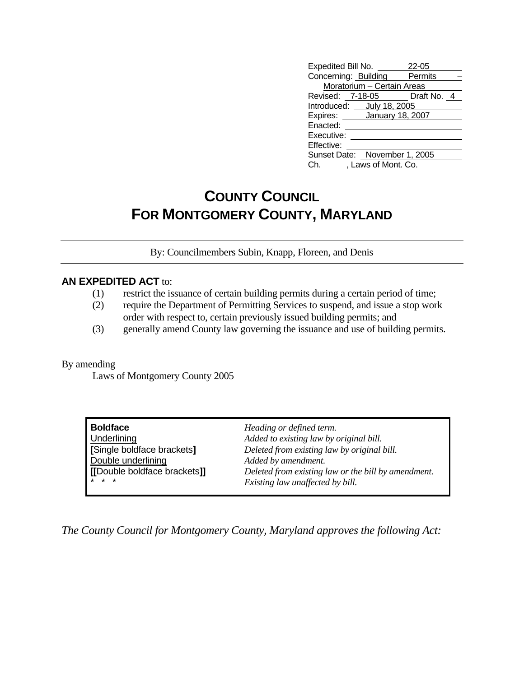| Expedited Bill No.            | 22-05 |
|-------------------------------|-------|
| Concerning: Building Permits  |       |
| Moratorium - Certain Areas    |       |
| Revised: 7-18-05 Draft No. 4  |       |
| Introduced: July 18, 2005     |       |
| Expires: January 18, 2007     |       |
| Enacted:                      |       |
| Executive:                    |       |
| Effective:                    |       |
| Sunset Date: November 1, 2005 |       |
| Ch. , Laws of Mont. Co.       |       |

## **COUNTY COUNCIL FOR MONTGOMERY COUNTY, MARYLAND**

By: Councilmembers Subin, Knapp, Floreen, and Denis

#### **AN EXPEDITED ACT** to:

- (1) restrict the issuance of certain building permits during a certain period of time;
- (2) require the Department of Permitting Services to suspend, and issue a stop work order with respect to, certain previously issued building permits; and
- (3) generally amend County law governing the issuance and use of building permits.

#### By amending

Laws of Montgomery County 2005

| Boldface                     | Heading or defined term.                            |
|------------------------------|-----------------------------------------------------|
| Underlining                  | Added to existing law by original bill.             |
| [Single boldface brackets]   | Deleted from existing law by original bill.         |
| Double underlining           | Added by amendment.                                 |
| [[Double boldface brackets]] | Deleted from existing law or the bill by amendment. |
| * * *                        | Existing law unaffected by bill.                    |

*The County Council for Montgomery County, Maryland approves the following Act:*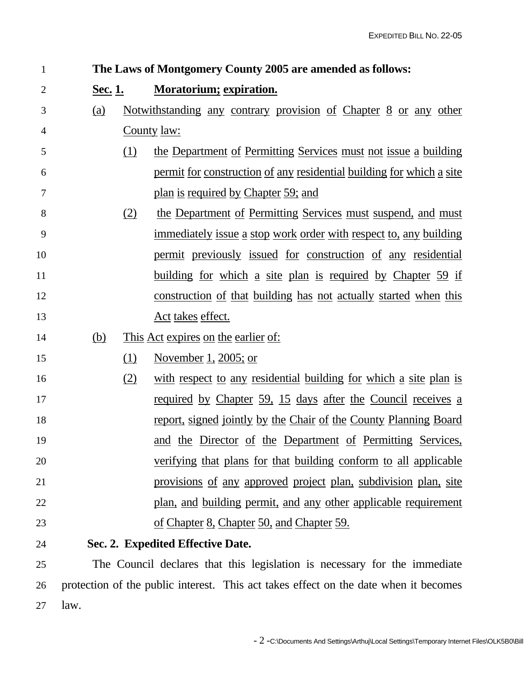| $\mathbf{1}$   |         |     | The Laws of Montgomery County 2005 are amended as follows:              |
|----------------|---------|-----|-------------------------------------------------------------------------|
| $\overline{2}$ | Sec. 1. |     | <b>Moratorium; expiration.</b>                                          |
| 3              | (a)     |     | <u>Notwithstanding any contrary provision of Chapter 8 or any other</u> |
| 4              |         |     | County law:                                                             |
| 5              |         | (1) | the Department of Permitting Services must not issue a building         |
| 6              |         |     | permit for construction of any residential building for which a site    |
| 7              |         |     | plan is required by Chapter 59; and                                     |
| 8              |         | (2) | the Department of Permitting Services must suspend, and must            |
| 9              |         |     | immediately issue a stop work order with respect to, any building       |
| 10             |         |     | permit previously issued for construction of any residential            |
| 11             |         |     | <u>building for which a site plan is required by Chapter 59 if</u>      |
| 12             |         |     | <u>construction of that building has not actually started when this</u> |
| 13             |         |     | Act takes effect.                                                       |
| 14             | (b)     |     | <u>This Act expires on the earlier of:</u>                              |
| 15             |         | (1) | November 1, 2005; or                                                    |
| 16             |         | (2) | with respect to any residential building for which a site plan is       |
| 17             |         |     | required by Chapter 59, 15 days after the Council receives a            |
| 18             |         |     | <u>report, signed jointly by the Chair of the County Planning Board</u> |
| 19             |         |     | and the Director of the Department of Permitting Services,              |
| 20             |         |     | <u>verifying that plans for that building conform to all applicable</u> |
| 21             |         |     | provisions of any approved project plan, subdivision plan, site         |
| 22             |         |     | plan, and building permit, and any other applicable requirement         |
| 23             |         |     | of Chapter 8, Chapter 50, and Chapter 59.                               |
| 24             |         |     | Sec. 2. Expedited Effective Date.                                       |

25 The Council declares that this legislation is necessary for the immediate 26 protection of the public interest. This act takes effect on the date when it becomes 27 law.